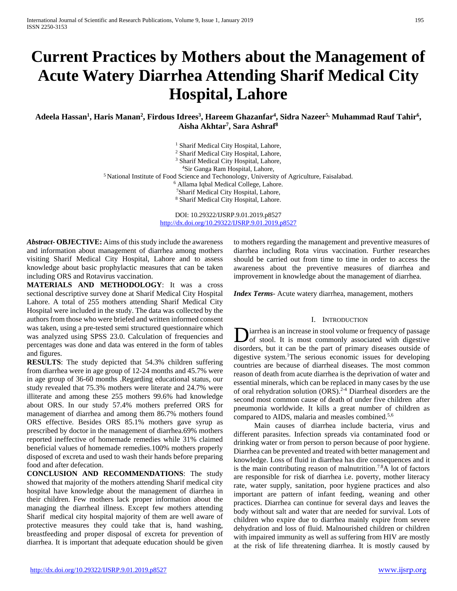# **Current Practices by Mothers about the Management of Acute Watery Diarrhea Attending Sharif Medical City Hospital, Lahore**

Adeela Hassan<sup>1</sup>, Haris Manan<sup>2</sup>, Firdous Idrees<sup>3</sup>, Hareem Ghazanfar<sup>4</sup>, Sidra Nazeer<sup>5,</sup> Muhammad Rauf Tahir<sup>6</sup>, **Aisha Akhtar7 , Sara Ashraf8**

> <sup>1</sup> Sharif Medical City Hospital, Lahore, <sup>2</sup> Sharif Medical City Hospital, Lahore, <sup>3</sup> Sharif Medical City Hospital, Lahore, 4Sir Ganga Ram Hospital, Lahore, <sup>5</sup> National Institute of Food Science and Techonology, University of Agriculture, Faisalabad. <sup>6</sup> Allama Iqbal Medical College, Lahore. 7Sharif Medical City Hospital, Lahore, <sup>8</sup> Sharif Medical City Hospital, Lahore.

> > DOI: 10.29322/IJSRP.9.01.2019.p8527 <http://dx.doi.org/10.29322/IJSRP.9.01.2019.p8527>

*Abstract***- OBJECTIVE:** Aims of this study include the awareness and information about management of diarrhea among mothers visiting Sharif Medical City Hospital, Lahore and to assess knowledge about basic prophylactic measures that can be taken including ORS and Rotavirus vaccination.

**MATERIALS AND METHODOLOGY**: It was a cross sectional descriptive survey done at Sharif Medical City Hospital Lahore. A total of 255 mothers attending Sharif Medical City Hospital were included in the study. The data was collected by the authors from those who were briefed and written informed consent was taken, using a pre-tested semi structured questionnaire which was analyzed using SPSS 23.0. Calculation of frequencies and percentages was done and data was entered in the form of tables and figures.

**RESULTS**: The study depicted that 54.3% children suffering from diarrhea were in age group of 12-24 months and 45.7% were in age group of 36-60 months .Regarding educational status, our study revealed that 75.3% mothers were literate and 24.7% were illiterate and among these 255 mothers 99.6% had knowledge about ORS. In our study 57.4% mothers preferred ORS for management of diarrhea and among them 86.7% mothers found ORS effective. Besides ORS 85.1% mothers gave syrup as prescribed by doctor in the management of diarrhea.69% mothers reported ineffective of homemade remedies while 31% claimed beneficial values of homemade remedies.100% mothers properly disposed of excreta and used to wash their hands before preparing food and after defecation.

**CONCLUSION AND RECOMMENDATIONS**: The study showed that majority of the mothers attending Sharif medical city hospital have knowledge about the management of diarrhea in their children. Few mothers lack proper information about the managing the diarrheal illness. Except few mothers attending Sharif medical city hospital majority of them are well aware of protective measures they could take that is, hand washing, breastfeeding and proper disposal of excreta for prevention of diarrhea. It is important that adequate education should be given

to mothers regarding the management and preventive measures of diarrhea including Rota virus vaccination. Further researches should be carried out from time to time in order to access the awareness about the preventive measures of diarrhea and improvement in knowledge about the management of diarrhea.

*Index Terms*- Acute watery diarrhea, management, mothers

#### I. INTRODUCTION

iarrhea is an increase in stool volume or frequency of passage of stool. It is most commonly associated with digestive **D**iarrhea is an increase in stool volume or frequency of passage of stool. It is most commonly associated with digestive disorders, but it can be the part of primary diseases outside of digestive system.1 The serious economic issues for developing countries are because of diarrheal diseases. The most common reason of death from acute diarrhea is the deprivation of water and essential minerals, which can be replaced in many cases by the use of oral rehydration solution  $(ORS)$ .<sup>2-4</sup> Diarrheal disorders are the second most common cause of death of under five children after pneumonia worldwide. It kills a great number of children as compared to AIDS, malaria and measles combined.5,6

 Main causes of diarrhea include bacteria, virus and different parasites. Infection spreads via contaminated food or drinking water or from person to person because of poor hygiene. Diarrhea can be prevented and treated with better management and knowledge. Loss of fluid in diarrhea has dire consequences and it is the main contributing reason of malnutrition.7.8A lot of factors are responsible for risk of diarrhea i.e. poverty, mother literacy rate, water supply, sanitation, poor hygiene practices and also important are pattern of infant feeding, weaning and other practices. Diarrhea can continue for several days and leaves the body without salt and water that are needed for survival. Lots of children who expire due to diarrhea mainly expire from severe dehydration and loss of fluid. Malnourished children or children with impaired immunity as well as suffering from HIV are mostly at the risk of life threatening diarrhea. It is mostly caused by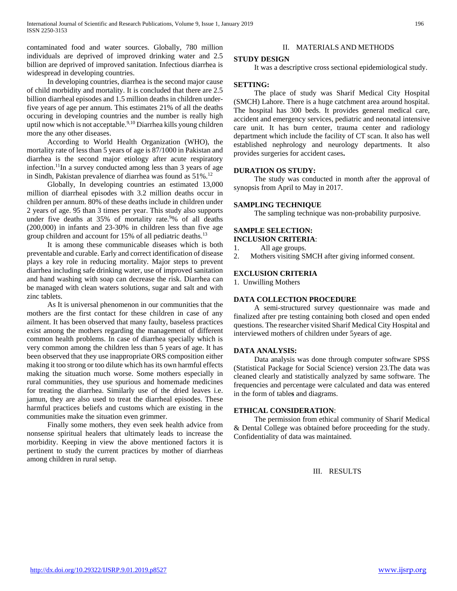contaminated food and water sources. Globally, 780 million individuals are deprived of improved drinking water and 2.5 billion are deprived of improved sanitation. Infectious diarrhea is widespread in developing countries.

 In developing countries, diarrhea is the second major cause of child morbidity and mortality. It is concluded that there are 2.5 billion diarrheal episodes and 1.5 million deaths in children underfive years of age per annum. This estimates 21% of all the deaths occuring in developing countries and the number is really high uptil now which is not acceptable.<sup>9,10</sup> Diarrhea kills young children more the any other diseases.

 According to World Health Organization (WHO), the mortality rate of less than 5 years of age is 87/1000 in Pakistan and diarrhea is the second major etiology after acute respiratory infection.11In a survey conducted among less than 3 years of age in Sindh, Pakistan prevalence of diarrhea was found as 51%.12

 Globally, In developing countries an estimated 13,000 million of diarrheal episodes with 3.2 million deaths occur in children per annum. 80% of these deaths include in children under 2 years of age. 95 than 3 times per year. This study also supports under five deaths at 35% of mortality rate.<sup>9</sup>% of all deaths (200,000) in infants and 23-30% in children less than five age group children and account for 15% of all pediatric deaths.<sup>13</sup>

 It is among these communicable diseases which is both preventable and curable. Early and correct identification of disease plays a key role in reducing mortality. Major steps to prevent diarrhea including safe drinking water, use of improved sanitation and hand washing with soap can decrease the risk. Diarrhea can be managed with clean waters solutions, sugar and salt and with zinc tablets.

 As It is universal phenomenon in our communities that the mothers are the first contact for these children in case of any ailment. It has been observed that many faulty, baseless practices exist among the mothers regarding the management of different common health problems. In case of diarrhea specially which is very common among the children less than 5 years of age. It has been observed that they use inappropriate ORS composition either making it too strong or too dilute which has its own harmful effects making the situation much worse. Some mothers especially in rural communities, they use spurious and homemade medicines for treating the diarrhea. Similarly use of the dried leaves i.e. jamun, they are also used to treat the diarrheal episodes. These harmful practices beliefs and customs which are existing in the communities make the situation even grimmer.

 Finally some mothers, they even seek health advice from nonsense spiritual healers that ultimately leads to increase the morbidity. Keeping in view the above mentioned factors it is pertinent to study the current practices by mother of diarrheas among children in rural setup.

## II. MATERIALS AND METHODS

#### **STUDY DESIGN**

It was a descriptive cross sectional epidemiological study.

#### **SETTING:**

 The place of study was Sharif Medical City Hospital (SMCH) Lahore. There is a huge catchment area around hospital. The hospital has 300 beds. It provides general medical care, accident and emergency services, pediatric and neonatal intensive care unit. It has burn center, trauma center and radiology department which include the facility of CT scan. It also has well established nephrology and neurology departments. It also provides surgeries for accident cases**.**

#### **DURATION OS STUDY:**

 The study was conducted in month after the approval of synopsis from April to May in 2017.

#### **SAMPLING TECHNIQUE**

The sampling technique was non-probability purposive.

#### **SAMPLE SELECTION: INCLUSION CRITERIA**:

- 1. All age groups.
- 2. Mothers visiting SMCH after giving informed consent.

#### **EXCLUSION CRITERIA**

1. Unwilling Mothers

#### **DATA COLLECTION PROCEDURE**

 A semi-structured survey questionnaire was made and finalized after pre testing containing both closed and open ended questions. The researcher visited Sharif Medical City Hospital and interviewed mothers of children under 5years of age.

#### **DATA ANALYSIS:**

 Data analysis was done through computer software SPSS (Statistical Package for Social Science) version 23.The data was cleaned clearly and statistically analyzed by same software. The frequencies and percentage were calculated and data was entered in the form of table**s** and diagrams.

#### **ETHICAL CONSIDERATION**:

 The permission from ethical community of Sharif Medical & Dental College was obtained before proceeding for the study. Confidentiality of data was maintained.

III. RESULTS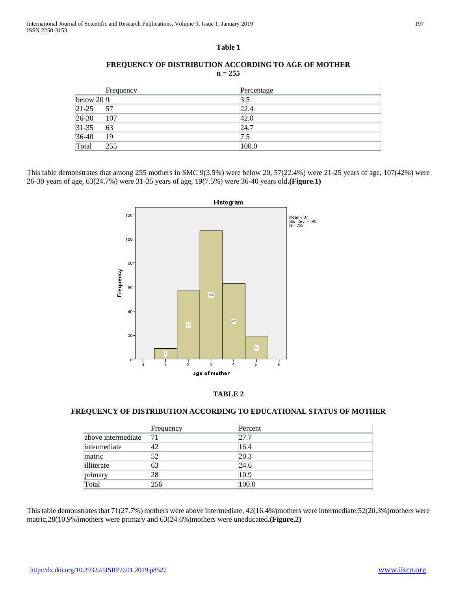## **Table 1**

# **FREQUENCY OF DISTRIBUTION ACCORDING TO AGE OF MOTHER n = 255**

|             | Frequency | Percentage |  |
|-------------|-----------|------------|--|
| below $209$ |           | 3.5        |  |
| $21 - 25$   | 57        | 22.4       |  |
| $26-30$     | 107       | 42.0       |  |
| $31 - 35$   | 63        | 24.7       |  |
| $36-40$     | 19        | 7.5        |  |
| Total       | 255       | 100.0      |  |

This table demonstrates that among 255 mothers in SMC 9(3.5%) were below 20, 57(22.4%) were 21-25 years of age, 107(42%) were 26-30 years of age, 63(24.7%) were 31-35 years of age, 19(7.5%) were 36-40 years old**.(Figure.1)**





# **FREQUENCY OF DISTRIBUTION ACCORDING TO EDUCATIONAL STATUS OF MOTHER**

|                    | Frequency | Percent |
|--------------------|-----------|---------|
| above intermediate | - 71      | 27.7    |
| intermediate       | 42        | 16.4    |
| matric             | 52        | 20.3    |
| illiterate         | 63        | 24.6    |
| primary            | 28        | 10.9    |
| Total              | 256       | 100.0   |

This table demonstrates that 71(27.7%) mothers were above intermediate, 42(16.4%)mothers were intermediate,52(20.3%)mothers were matric,28(10.9%)mothers were primary and 63(24.6%)mothers were uneducated**.(Figure.2)**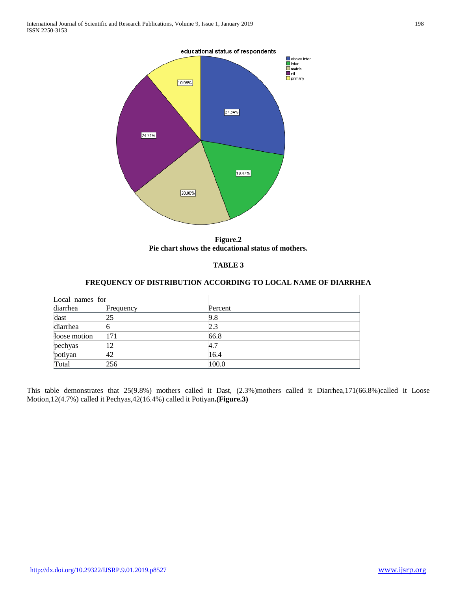#### educational status of respondents



**Figure.2 Pie chart shows the educational status of mothers.**

## **TABLE 3**

## **FREQUENCY OF DISTRIBUTION ACCORDING TO LOCAL NAME OF DIARRHEA**

| Local names for |           |         |  |
|-----------------|-----------|---------|--|
| diarrhea        | Frequency | Percent |  |
| dast            |           | 9.8     |  |
| diarrhea        |           | 2.3     |  |
| loose motion    | 171       | 66.8    |  |
| pechyas         | 12        | 4.7     |  |
| potiyan         | 42        | 16.4    |  |
| Total           | 256       | 100.0   |  |

This table demonstrates that 25(9.8%) mothers called it Dast, (2.3%)mothers called it Diarrhea,171(66.8%)called it Loose Motion,12(4.7%) called it Pechyas,42(16.4%) called it Potiyan**.(Figure.3)**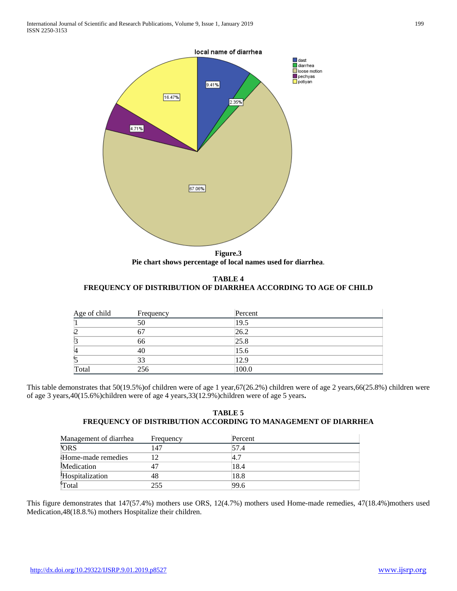

**Figure.3 Pie chart shows percentage of local names used for diarrhea**.

**TABLE 4 FREQUENCY OF DISTRIBUTION OF DIARRHEA ACCORDING TO AGE OF CHILD**

| Age of child | Frequency | Percent |  |
|--------------|-----------|---------|--|
|              | 50        | 19.5    |  |
| ١2           | 67        | 26.2    |  |
|              | 66        | 25.8    |  |
|              | 40        | 15.6    |  |
|              | 33        | 12.9    |  |
| Total        | 256       | 100.0   |  |

This table demonstrates that 50(19.5%)of children were of age 1 year,67(26.2%) children were of age 2 years,66(25.8%) children were of age 3 years,40(15.6%)children were of age 4 years,33(12.9%)children were of age 5 years**.**

## **TABLE 5 FREQUENCY OF DISTRIBUTION ACCORDING TO MANAGEMENT OF DIARRHEA**

| Management of diarrhea | Frequency | Percent |  |
|------------------------|-----------|---------|--|
| <b>ORS</b>             | 47        | 57.4    |  |
| Home-made remedies     |           | 4.7     |  |
| Medication             |           | 18.4    |  |
| Hospitalization        |           | 18.8    |  |
| 'Total                 | 255       | 99.6    |  |

This figure demonstrates that 147(57.4%) mothers use ORS, 12(4.7%) mothers used Home-made remedies, 47(18.4%)mothers used Medication,48(18.8.%) mothers Hospitalize their children.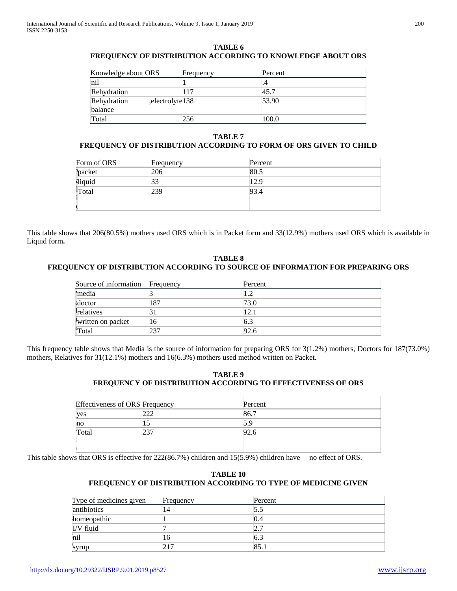#### **TABLE 6 FREQUENCY OF DISTRIBUTION ACCORDING TO KNOWLEDGE ABOUT ORS**

| Knowledge about ORS | Frequency         | Percent |
|---------------------|-------------------|---------|
| nil                 |                   | .4      |
| Rehydration         | 117               | 45.7    |
| Rehydration         | , electrolyte 138 | 53.90   |
| balance             |                   |         |
| Total               | 256               | 100.0   |

## **TABLE 7**

# **FREQUENCY OF DISTRIBUTION ACCORDING TO FORM OF ORS GIVEN TO CHILD**

| Form of ORS   | Frequency | Percent |
|---------------|-----------|---------|
| <b>packet</b> | 206       | 80.5    |
| liquid        | 33        | 12.9    |
| Total         | 239       | 93.4    |

This table shows that 206(80.5%) mothers used ORS which is in Packet form and 33(12.9%) mothers used ORS which is available in Liquid form**.**

# **TABLE 8 FREQUENCY OF DISTRIBUTION ACCORDING TO SOURCE OF INFORMATION FOR PREPARING ORS**

| Source of information Frequency |     | Percent |
|---------------------------------|-----|---------|
| media                           |     | 1.2     |
| doctor                          | 187 | 73.0    |
| <i>l</i> <sub>relatives</sub>   |     | 12.1    |
| written on packet               | 16  | 6.3     |
| 'Total                          | 237 | 92.6    |

This frequency table shows that Media is the source of information for preparing ORS for 3(1.2%) mothers, Doctors for 187(73.0%) mothers, Relatives for 31(12.1%) mothers and 16(6.3%) mothers used method written on Packet.

## **TABLE 9 FREQUENCY OF DISTRIBUTION ACCORDING TO EFFECTIVENESS OF ORS**

| <b>Effectiveness of ORS Frequency</b> |     | Percent |  |
|---------------------------------------|-----|---------|--|
| yes                                   | 222 | 86.7    |  |
| no                                    |     | 5.9     |  |
| Total                                 | 237 | 92.6    |  |
|                                       |     |         |  |
|                                       |     |         |  |

This table shows that ORS is effective for 222(86.7%) children and 15(5.9%) children have no effect of ORS.

# **TABLE 10 FREQUENCY OF DISTRIBUTION ACCORDING TO TYPE OF MEDICINE GIVEN**

| Type of medicines given | Frequency | Percent |  |
|-------------------------|-----------|---------|--|
| antibiotics             | 14        | 5.5     |  |
| homeopathic             |           | 0.4     |  |
| I/V fluid               |           |         |  |
| nil                     | 16        | 6.3     |  |
| <b>syrup</b>            | 217       | 85.1    |  |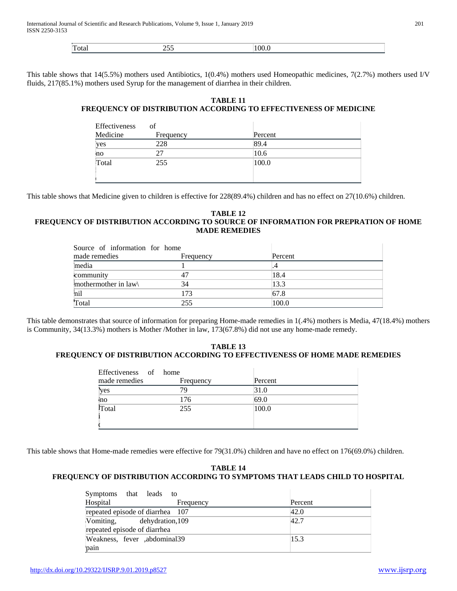| $\sim$ | --<br>- |  |
|--------|---------|--|
|        |         |  |

This table shows that 14(5.5%) mothers used Antibiotics, 1(0.4%) mothers used Homeopathic medicines, 7(2.7%) mothers used I/V fluids, 217(85.1%) mothers used Syrup for the management of diarrhea in their children.

# **TABLE 11 FREQUENCY OF DISTRIBUTION ACCORDING TO EFFECTIVENESS OF MEDICINE**

| Effectiveness | of        |         |  |
|---------------|-----------|---------|--|
| Medicine      | Frequency | Percent |  |
| yes           | 228       | 89.4    |  |
| no            | 27        | 10.6    |  |
| Total         | 255       | 100.0   |  |
|               |           |         |  |

This table shows that Medicine given to children is effective for 228(89.4%) children and has no effect on 27(10.6%) children.

#### **TABLE 12 FREQUENCY OF DISTRIBUTION ACCORDING TO SOURCE OF INFORMATION FOR PREPRATION OF HOME MADE REMEDIES**

| Source of information for home |           |         |  |
|--------------------------------|-----------|---------|--|
| made remedies                  | Frequency | Percent |  |
| media                          |           |         |  |
| community                      |           | 18.4    |  |
| mothermother in law            | 34        | 13.3    |  |
| nil                            | 173       | 67.8    |  |
| Total                          | 255       | 100.0   |  |

This table demonstrates that source of information for preparing Home-made remedies in 1(.4%) mothers is Media, 47(18.4%) mothers is Community, 34(13.3%) mothers is Mother /Mother in law, 173(67.8%) did not use any home-made remedy.

# **TABLE 13 FREQUENCY OF DISTRIBUTION ACCORDING TO EFFECTIVENESS OF HOME MADE REMEDIES**

| Effectiveness of home |           |         |  |
|-----------------------|-----------|---------|--|
| made remedies         | Frequency | Percent |  |
| yes                   | 79        | 31.0    |  |
| mo                    | 176       | 69.0    |  |
| Total                 | 255       | 100.0   |  |
|                       |           |         |  |
|                       |           |         |  |

This table shows that Home-made remedies were effective for 79(31.0%) children and have no effect on 176(69.0%) children.

# **TABLE 14 FREQUENCY OF DISTRIBUTION ACCORDING TO SYMPTOMS THAT LEADS CHILD TO HOSPITAL**

| Symptoms that leads              | to        |         |  |
|----------------------------------|-----------|---------|--|
| Hospital                         | Frequency | Percent |  |
| repeated episode of diarrhea 107 |           | 42.0    |  |
| Vomiting, dehydration, 109       |           | 42.7    |  |
| repeated episode of diarrhea     |           |         |  |
| [Weakness, fever .abdominal39]   |           | 15.3    |  |
| pain                             |           |         |  |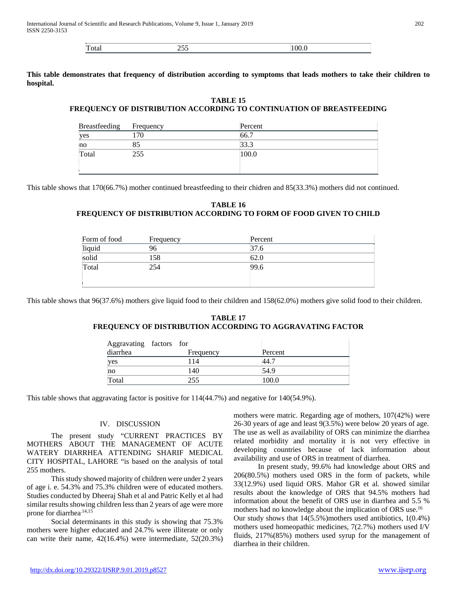| 10C<br>1 otal<br>$\overline{\phantom{a}}$<br>__ |
|-------------------------------------------------|
|-------------------------------------------------|

**This table demonstrates that frequency of distribution according to symptoms that leads mothers to take their children to hospital.**

# **TABLE 15 FREQUENCY OF DISTRIBUTION ACCORDING TO CONTINUATION OF BREASTFEEDING**

| Breastfeeding | Frequency | Percent |
|---------------|-----------|---------|
| yes           | 70        | 66.7    |
| no            | 85        | 33.3    |
| Total         | 255       | 100.0   |
|               |           |         |
|               |           |         |

This table shows that 170(66.7%) mother continued breastfeeding to their chidren and 85(33.3%) mothers did not continued.

# **TABLE 16 FREQUENCY OF DISTRIBUTION ACCORDING TO FORM OF FOOD GIVEN TO CHILD**

| Form of food | Frequency | Percent |
|--------------|-----------|---------|
| liquid       | 96        | 37.6    |
| solid        | 158       | 62.0    |
| Total        | 254       | 99.6    |
|              |           |         |

This table shows that 96(37.6%) mothers give liquid food to their children and 158(62.0%) mothers give solid food to their children.

## **TABLE 17 FREQUENCY OF DISTRIBUTION ACCORDING TO AGGRAVATING FACTOR**

| Aggravating factors for<br>diarrhea | Frequency | Percent |
|-------------------------------------|-----------|---------|
| yes                                 | 114       | 44.7    |
| no                                  | 140       | 54.9    |
| Total                               | 255       | 100.0   |

This table shows that aggravating factor is positive for 114(44.7%) and negative for 140(54.9%).

#### IV. DISCUSSION

 The present study "CURRENT PRACTICES BY MOTHERS ABOUT THE MANAGEMENT OF ACUTE WATERY DIARRHEA ATTENDING SHARIF MEDICAL CITY HOSPITAL, LAHORE "is based on the analysis of total 255 mothers.

 This study showed majority of children were under 2 years of age i. e. 54.3% and 75.3% children were of educated mothers. Studies conducted by Dheeraj Shah et al and Patric Kelly et al had similar results showing children less than 2 years of age were more prone for diarrhea<sup>.14,15</sup>

 Social determinants in this study is showing that 75.3% mothers were higher educated and 24.7% were illiterate or only can write their name, 42(16.4%) were intermediate, 52(20.3%) mothers were matric. Regarding age of mothers, 107(42%) were 26-30 years of age and least 9(3.5%) were below 20 years of age. The use as well as availability of ORS can minimize the diarrhea related morbidity and mortality it is not very effective in developing countries because of lack information about availability and use of ORS in treatment of diarrhea.

 In present study, 99.6% had knowledge about ORS and 206(80.5%) mothers used ORS in the form of packets, while 33(12.9%) used liquid ORS. Mahor GR et al. showed similar results about the knowledge of ORS that 94.5% mothers had information about the benefit of ORS use in diarrhea and 5.5 % mothers had no knowledge about the implication of ORS use.16 Our study shows that 14(5.5%)mothers used antibiotics, 1(0.4%) mothers used homeopathic medicines, 7(2.7%) mothers used I/V fluids, 217%(85%) mothers used syrup for the management of diarrhea in their children.